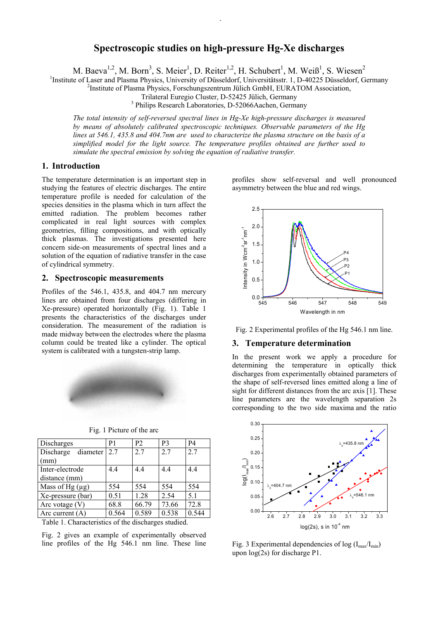# **Spectroscopic studies on high-pressure Hg-Xe discharges**

M. Baeva<sup>1,2</sup>, M. Born<sup>3</sup>, S. Meier<sup>1</sup>, D. Reiter<sup>1,2</sup>, H. Schubert<sup>1</sup>, M. Weiß<sup>1</sup>, S. Wiesen<sup>2</sup>

<sup>1</sup>Institute of Laser and Plasma Physics, University of Düsseldorf, Universitätsstr. 1, D-40225 Düsseldorf, Germany <sup>2</sup>Institute of Plasma Physics, Escaphynes and Tiliah GmbH, EUP ATOM Association

Institute of Plasma Physics, Forschungszentrum Jülich GmbH, EURATOM Association,

Trilateral Euregio Cluster, D-52425 Jülich, Germany 3

<sup>3</sup> Philips Research Laboratories, D-52066Aachen, Germany

*The total intensity of self-reversed spectral lines in Hg-Xe high-pressure discharges is measured by means of absolutely calibrated spectroscopic techniques. Observable parameters of the Hg lines at 546.1, 435.8 and 404.7nm are used to characterize the plasma structure on the basis of a simplified model for the light source. The temperature profiles obtained are further used to simulate the spectral emission by solving the equation of radiative transfer.* 

## **1.****Introduction**

The temperature determination is an important step in studying the features of electric discharges. The entire temperature profile is needed for calculation of the species densities in the plasma which in turn affect the emitted radiation. The problem becomes rather complicated in real light sources with complex geometries, filling compositions, and with optically thick plasmas. The investigations presented here concern side-on measurements of spectral lines and a solution of the equation of radiative transfer in the case of cylindrical symmetry.

### **2. Spectroscopic measurements**

Profiles of the 546.1, 435.8, and 404.7 nm mercury lines are obtained from four discharges (differing in Xe-pressure) operated horizontally (Fig. 1). Table 1 presents the characteristics of the discharges under consideration. The measurement of the radiation is made midway between the electrodes where the plasma column could be treated like a cylinder. The optical system is calibrated with a tungsten-strip lamp.



| Discharges            | P1                | P <sub>2</sub> | P <sub>3</sub> | <b>P4</b> |
|-----------------------|-------------------|----------------|----------------|-----------|
| Discharge<br>diameter | 2.7               | 2.7            | 2.7            | 2.7       |
| (mm)                  |                   |                |                |           |
| Inter-electrode       | 4.4               | 4.4            | 4.4            | 4.4       |
| distance (mm)         |                   |                |                |           |
| Mass of Hg $(\mu g)$  | 554               | 554            | 554            | 554       |
| Xe-pressure (bar)     | 0.51              | 1.28           | 2.54           | 5.1       |
| Arc votage $(V)$      | 68.8              | 66.79          | 73.66          | 72.8      |
| Arc current $(A)$     | 0.564             | 0.589          | 0.538          | 0.544     |
|                       | $\cdots$ $\cdots$ | $\cdots$       |                |           |

Fig. 1 Picture of the arc

Table 1. Characteristics of the discharges studied.

Fig. 2 gives an example of experimentally observed line profiles of the Hg 546.1 nm line. These line profiles show self-reversal and well pronounced asymmetry between the blue and red wings.



Fig. 2 Experimental profiles of the Hg 546.1 nm line.

#### **3. Temperature determination**

In the present work we apply a procedure for determining the temperature in optically thick discharges from experimentally obtained parameters of the shape of self-reversed lines emitted along a line of sight for different distances from the arc axis [1]. These line parameters are the wavelength separation 2s corresponding to the two side maxima and the ratio



Fig. 3 Experimental dependencies of  $log (I_{max}/I_{min})$ upon log(2s) for discharge P1.